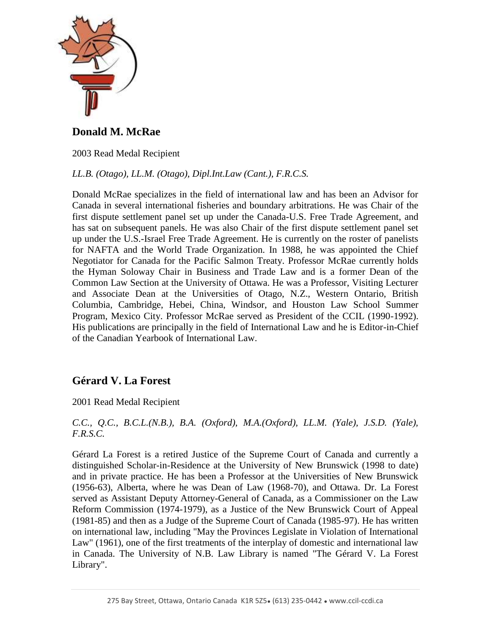

**Donald M. McRae**

2003 Read Medal Recipient

*LL.B. (Otago), LL.M. (Otago), Dipl.Int.Law (Cant.), F.R.C.S.* 

Donald McRae specializes in the field of international law and has been an Advisor for Canada in several international fisheries and boundary arbitrations. He was Chair of the first dispute settlement panel set up under the Canada-U.S. Free Trade Agreement, and has sat on subsequent panels. He was also Chair of the first dispute settlement panel set up under the U.S.-Israel Free Trade Agreement. He is currently on the roster of panelists for NAFTA and the World Trade Organization. In 1988, he was appointed the Chief Negotiator for Canada for the Pacific Salmon Treaty. Professor McRae currently holds the Hyman Soloway Chair in Business and Trade Law and is a former Dean of the Common Law Section at the University of Ottawa. He was a Professor, Visiting Lecturer and Associate Dean at the Universities of Otago, N.Z., Western Ontario, British Columbia, Cambridge, Hebei, China, Windsor, and Houston Law School Summer Program, Mexico City. Professor McRae served as President of the CCIL (1990-1992). His publications are principally in the field of International Law and he is Editor-in-Chief of the Canadian Yearbook of International Law.

# **Gérard V. La Forest**

2001 Read Medal Recipient

*C.C., Q.C., B.C.L.(N.B.), B.A. (Oxford), M.A.(Oxford), LL.M. (Yale), J.S.D. (Yale), F.R.S.C.*

Gérard La Forest is a retired Justice of the Supreme Court of Canada and currently a distinguished Scholar-in-Residence at the University of New Brunswick (1998 to date) and in private practice. He has been a Professor at the Universities of New Brunswick (1956-63), Alberta, where he was Dean of Law (1968-70), and Ottawa. Dr. La Forest served as Assistant Deputy Attorney-General of Canada, as a Commissioner on the Law Reform Commission (1974-1979), as a Justice of the New Brunswick Court of Appeal (1981-85) and then as a Judge of the Supreme Court of Canada (1985-97). He has written on international law, including "May the Provinces Legislate in Violation of International Law" (1961), one of the first treatments of the interplay of domestic and international law in Canada. The University of N.B. Law Library is named "The Gérard V. La Forest Library".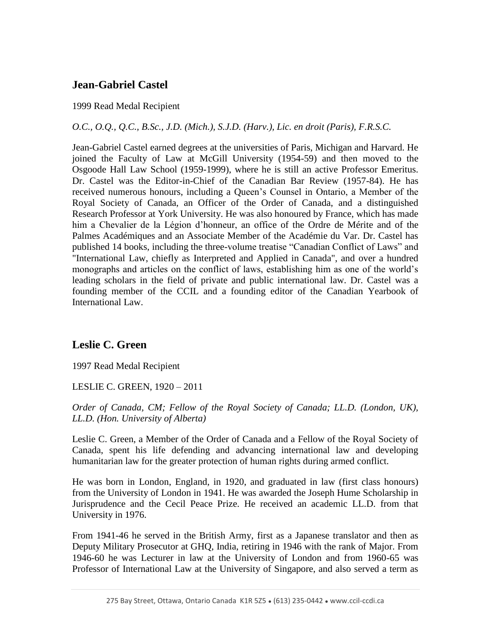# **Jean-Gabriel Castel**

### 1999 Read Medal Recipient

### *O.C., O.Q., Q.C., B.Sc., J.D. (Mich.), S.J.D. (Harv.), Lic. en droit (Paris), F.R.S.C.*

Jean-Gabriel Castel earned degrees at the universities of Paris, Michigan and Harvard. He joined the Faculty of Law at McGill University (1954-59) and then moved to the Osgoode Hall Law School (1959-1999), where he is still an active Professor Emeritus. Dr. Castel was the Editor-in-Chief of the Canadian Bar Review (1957-84). He has received numerous honours, including a Queen's Counsel in Ontario, a Member of the Royal Society of Canada, an Officer of the Order of Canada, and a distinguished Research Professor at York University. He was also honoured by France, which has made him a Chevalier de la Légion d'honneur, an office of the Ordre de Mérite and of the Palmes Académiques and an Associate Member of the Académie du Var. Dr. Castel has published 14 books, including the three-volume treatise "Canadian Conflict of Laws" and "International Law, chiefly as Interpreted and Applied in Canada", and over a hundred monographs and articles on the conflict of laws, establishing him as one of the world's leading scholars in the field of private and public international law. Dr. Castel was a founding member of the CCIL and a founding editor of the Canadian Yearbook of International Law.

## **Leslie C. Green**

1997 Read Medal Recipient

LESLIE C. GREEN, 1920 – 2011

*Order of Canada, CM; Fellow of the Royal Society of Canada; LL.D. (London, UK), LL.D. (Hon. University of Alberta)*

Leslie C. Green, a Member of the Order of Canada and a Fellow of the Royal Society of Canada, spent his life defending and advancing international law and developing humanitarian law for the greater protection of human rights during armed conflict.

He was born in London, England, in 1920, and graduated in law (first class honours) from the University of London in 1941. He was awarded the Joseph Hume Scholarship in Jurisprudence and the Cecil Peace Prize. He received an academic LL.D. from that University in 1976.

From 1941-46 he served in the British Army, first as a Japanese translator and then as Deputy Military Prosecutor at GHQ, India, retiring in 1946 with the rank of Major. From 1946-60 he was Lecturer in law at the University of London and from 1960-65 was Professor of International Law at the University of Singapore, and also served a term as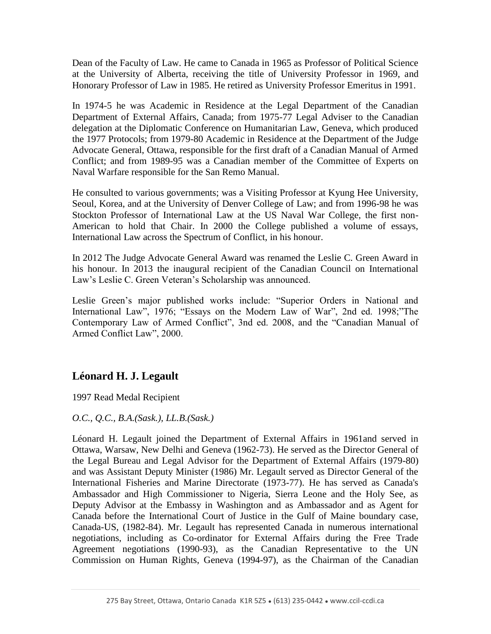Dean of the Faculty of Law. He came to Canada in 1965 as Professor of Political Science at the University of Alberta, receiving the title of University Professor in 1969, and Honorary Professor of Law in 1985. He retired as University Professor Emeritus in 1991.

In 1974-5 he was Academic in Residence at the Legal Department of the Canadian Department of External Affairs, Canada; from 1975-77 Legal Adviser to the Canadian delegation at the Diplomatic Conference on Humanitarian Law, Geneva, which produced the 1977 Protocols; from 1979-80 Academic in Residence at the Department of the Judge Advocate General, Ottawa, responsible for the first draft of a Canadian Manual of Armed Conflict; and from 1989-95 was a Canadian member of the Committee of Experts on Naval Warfare responsible for the San Remo Manual.

He consulted to various governments; was a Visiting Professor at Kyung Hee University, Seoul, Korea, and at the University of Denver College of Law; and from 1996-98 he was Stockton Professor of International Law at the US Naval War College, the first non-American to hold that Chair. In 2000 the College published a volume of essays, International Law across the Spectrum of Conflict, in his honour.

In 2012 The Judge Advocate General Award was renamed the Leslie C. Green Award in his honour. In 2013 the inaugural recipient of the Canadian Council on International Law's Leslie C. Green Veteran's Scholarship was announced.

Leslie Green's major published works include: "Superior Orders in National and International Law", 1976; "Essays on the Modern Law of War", 2nd ed. 1998;"The Contemporary Law of Armed Conflict", 3nd ed. 2008, and the "Canadian Manual of Armed Conflict Law", 2000.

# **Léonard H. J. Legault**

1997 Read Medal Recipient

*O.C., Q.C., B.A.(Sask.), LL.B.(Sask.)*

Léonard H. Legault joined the Department of External Affairs in 1961and served in Ottawa, Warsaw, New Delhi and Geneva (1962-73). He served as the Director General of the Legal Bureau and Legal Advisor for the Department of External Affairs (1979-80) and was Assistant Deputy Minister (1986) Mr. Legault served as Director General of the International Fisheries and Marine Directorate (1973-77). He has served as Canada's Ambassador and High Commissioner to Nigeria, Sierra Leone and the Holy See, as Deputy Advisor at the Embassy in Washington and as Ambassador and as Agent for Canada before the International Court of Justice in the Gulf of Maine boundary case, Canada-US, (1982-84). Mr. Legault has represented Canada in numerous international negotiations, including as Co-ordinator for External Affairs during the Free Trade Agreement negotiations (1990-93), as the Canadian Representative to the UN Commission on Human Rights, Geneva (1994-97), as the Chairman of the Canadian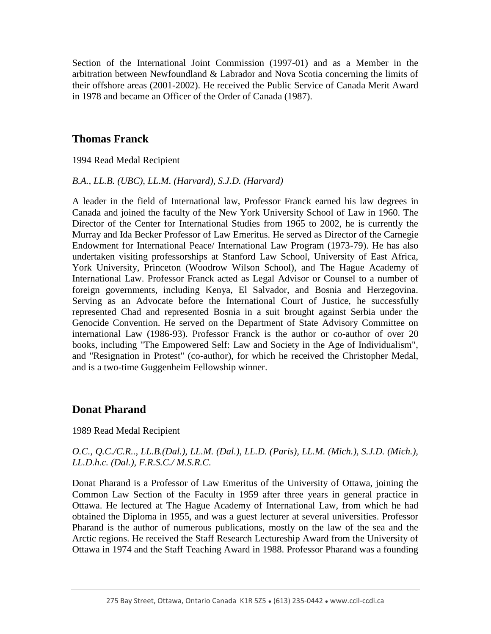Section of the International Joint Commission (1997-01) and as a Member in the arbitration between Newfoundland & Labrador and Nova Scotia concerning the limits of their offshore areas (2001-2002). He received the Public Service of Canada Merit Award in 1978 and became an Officer of the Order of Canada (1987).

## **Thomas Franck**

1994 Read Medal Recipient

#### *B.A., LL.B. (UBC), LL.M. (Harvard), S.J.D. (Harvard)*

A leader in the field of International law, Professor Franck earned his law degrees in Canada and joined the faculty of the New York University School of Law in 1960. The Director of the Center for International Studies from 1965 to 2002, he is currently the Murray and Ida Becker Professor of Law Emeritus. He served as Director of the Carnegie Endowment for International Peace/ International Law Program (1973-79). He has also undertaken visiting professorships at Stanford Law School, University of East Africa, York University, Princeton (Woodrow Wilson School), and The Hague Academy of International Law. Professor Franck acted as Legal Advisor or Counsel to a number of foreign governments, including Kenya, El Salvador, and Bosnia and Herzegovina. Serving as an Advocate before the International Court of Justice, he successfully represented Chad and represented Bosnia in a suit brought against Serbia under the Genocide Convention. He served on the Department of State Advisory Committee on international Law (1986-93). Professor Franck is the author or co-author of over 20 books, including "The Empowered Self: Law and Society in the Age of Individualism", and "Resignation in Protest" (co-author), for which he received the Christopher Medal, and is a two-time Guggenheim Fellowship winner.

### **Donat Pharand**

#### 1989 Read Medal Recipient

### *O.C., Q.C./C.R.., LL.B.(Dal.), LL.M. (Dal.), LL.D. (Paris), LL.M. (Mich.), S.J.D. (Mich.), LL.D.h.c. (Dal.), F.R.S.C./ M.S.R.C.*

Donat Pharand is a Professor of Law Emeritus of the University of Ottawa, joining the Common Law Section of the Faculty in 1959 after three years in general practice in Ottawa. He lectured at The Hague Academy of International Law, from which he had obtained the Diploma in 1955, and was a guest lecturer at several universities. Professor Pharand is the author of numerous publications, mostly on the law of the sea and the Arctic regions. He received the Staff Research Lectureship Award from the University of Ottawa in 1974 and the Staff Teaching Award in 1988. Professor Pharand was a founding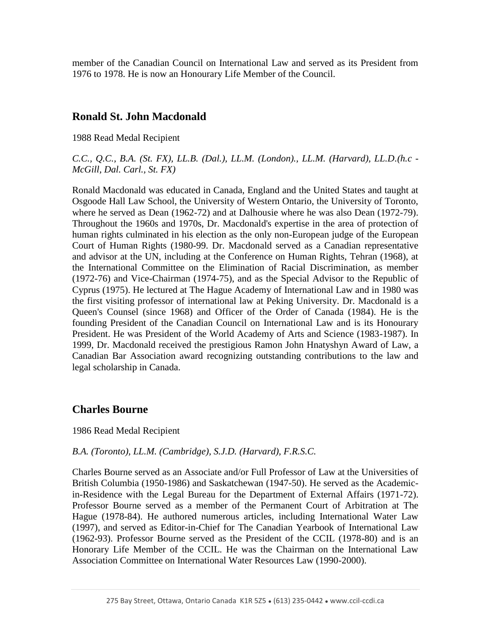member of the Canadian Council on International Law and served as its President from 1976 to 1978. He is now an Honourary Life Member of the Council.

## **Ronald St. John Macdonald**

1988 Read Medal Recipient

*C.C., Q.C., B.A. (St. FX), LL.B. (Dal.), LL.M. (London)., LL.M. (Harvard), LL.D.(h.c - McGill, Dal. Carl., St. FX)* 

Ronald Macdonald was educated in Canada, England and the United States and taught at Osgoode Hall Law School, the University of Western Ontario, the University of Toronto, where he served as Dean (1962-72) and at Dalhousie where he was also Dean (1972-79). Throughout the 1960s and 1970s, Dr. Macdonald's expertise in the area of protection of human rights culminated in his election as the only non-European judge of the European Court of Human Rights (1980-99. Dr. Macdonald served as a Canadian representative and advisor at the UN, including at the Conference on Human Rights, Tehran (1968), at the International Committee on the Elimination of Racial Discrimination, as member (1972-76) and Vice-Chairman (1974-75), and as the Special Advisor to the Republic of Cyprus (1975). He lectured at The Hague Academy of International Law and in 1980 was the first visiting professor of international law at Peking University. Dr. Macdonald is a Queen's Counsel (since 1968) and Officer of the Order of Canada (1984). He is the founding President of the Canadian Council on International Law and is its Honourary President. He was President of the World Academy of Arts and Science (1983-1987). In 1999, Dr. Macdonald received the prestigious Ramon John Hnatyshyn Award of Law, a Canadian Bar Association award recognizing outstanding contributions to the law and legal scholarship in Canada.

## **Charles Bourne**

### 1986 Read Medal Recipient

### *B.A. (Toronto), LL.M. (Cambridge), S.J.D. (Harvard), F.R.S.C.*

Charles Bourne served as an Associate and/or Full Professor of Law at the Universities of British Columbia (1950-1986) and Saskatchewan (1947-50). He served as the Academicin-Residence with the Legal Bureau for the Department of External Affairs (1971-72). Professor Bourne served as a member of the Permanent Court of Arbitration at The Hague (1978-84). He authored numerous articles, including International Water Law (1997), and served as Editor-in-Chief for The Canadian Yearbook of International Law (1962-93). Professor Bourne served as the President of the CCIL (1978-80) and is an Honorary Life Member of the CCIL. He was the Chairman on the International Law Association Committee on International Water Resources Law (1990-2000).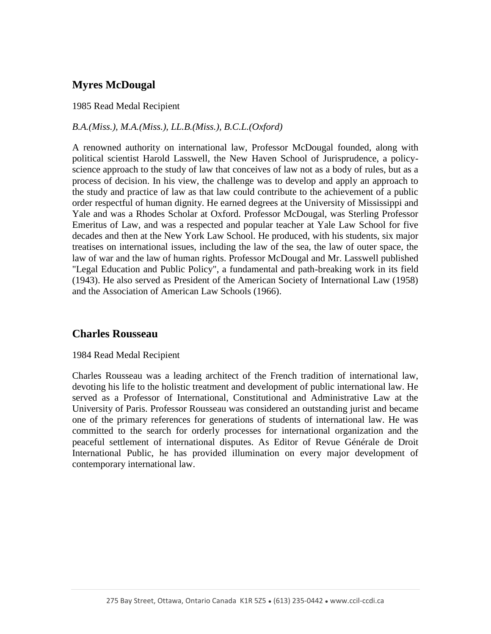# **Myres McDougal**

### 1985 Read Medal Recipient

### *B.A.(Miss.), M.A.(Miss.), LL.B.(Miss.), B.C.L.(Oxford)*

A renowned authority on international law, Professor McDougal founded, along with political scientist Harold Lasswell, the New Haven School of Jurisprudence, a policyscience approach to the study of law that conceives of law not as a body of rules, but as a process of decision. In his view, the challenge was to develop and apply an approach to the study and practice of law as that law could contribute to the achievement of a public order respectful of human dignity. He earned degrees at the University of Mississippi and Yale and was a Rhodes Scholar at Oxford. Professor McDougal, was Sterling Professor Emeritus of Law, and was a respected and popular teacher at Yale Law School for five decades and then at the New York Law School. He produced, with his students, six major treatises on international issues, including the law of the sea, the law of outer space, the law of war and the law of human rights. Professor McDougal and Mr. Lasswell published "Legal Education and Public Policy", a fundamental and path-breaking work in its field (1943). He also served as President of the American Society of International Law (1958) and the Association of American Law Schools (1966).

## **Charles Rousseau**

### 1984 Read Medal Recipient

Charles Rousseau was a leading architect of the French tradition of international law, devoting his life to the holistic treatment and development of public international law. He served as a Professor of International, Constitutional and Administrative Law at the University of Paris. Professor Rousseau was considered an outstanding jurist and became one of the primary references for generations of students of international law. He was committed to the search for orderly processes for international organization and the peaceful settlement of international disputes. As Editor of Revue Générale de Droit International Public, he has provided illumination on every major development of contemporary international law.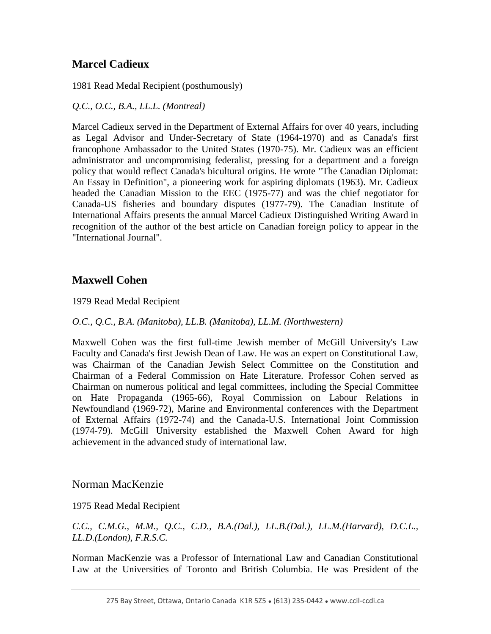# **Marcel Cadieux**

1981 Read Medal Recipient (posthumously)

*Q.C., O.C., B.A., LL.L. (Montreal)* 

Marcel Cadieux served in the Department of External Affairs for over 40 years, including as Legal Advisor and Under-Secretary of State (1964-1970) and as Canada's first francophone Ambassador to the United States (1970-75). Mr. Cadieux was an efficient administrator and uncompromising federalist, pressing for a department and a foreign policy that would reflect Canada's bicultural origins. He wrote "The Canadian Diplomat: An Essay in Definition", a pioneering work for aspiring diplomats (1963). Mr. Cadieux headed the Canadian Mission to the EEC (1975-77) and was the chief negotiator for Canada-US fisheries and boundary disputes (1977-79). The Canadian Institute of International Affairs presents the annual Marcel Cadieux Distinguished Writing Award in recognition of the author of the best article on Canadian foreign policy to appear in the "International Journal".

## **Maxwell Cohen**

1979 Read Medal Recipient

*O.C., Q.C., B.A. (Manitoba), LL.B. (Manitoba), LL.M. (Northwestern)* 

Maxwell Cohen was the first full-time Jewish member of McGill University's Law Faculty and Canada's first Jewish Dean of Law. He was an expert on Constitutional Law, was Chairman of the Canadian Jewish Select Committee on the Constitution and Chairman of a Federal Commission on Hate Literature. Professor Cohen served as Chairman on numerous political and legal committees, including the Special Committee on Hate Propaganda (1965-66), Royal Commission on Labour Relations in Newfoundland (1969-72), Marine and Environmental conferences with the Department of External Affairs (1972-74) and the Canada-U.S. International Joint Commission (1974-79). McGill University established the Maxwell Cohen Award for high achievement in the advanced study of international law.

### Norman MacKenzie

1975 Read Medal Recipient

*C.C., C.M.G., M.M., Q.C., C.D., B.A.(Dal.), LL.B.(Dal.), LL.M.(Harvard), D.C.L., LL.D.(London), F.R.S.C.* 

Norman MacKenzie was a Professor of International Law and Canadian Constitutional Law at the Universities of Toronto and British Columbia. He was President of the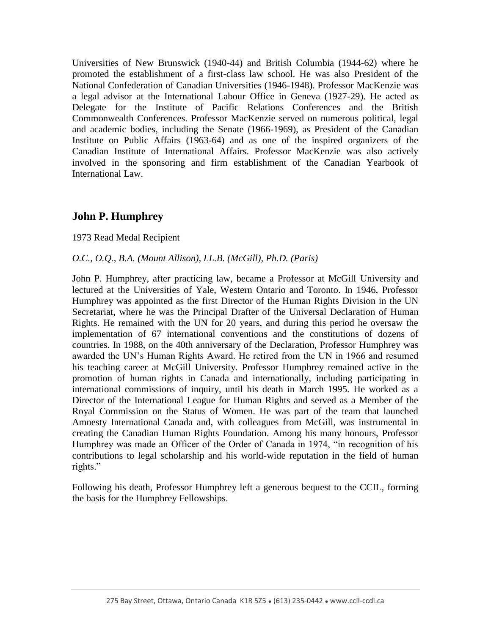Universities of New Brunswick (1940-44) and British Columbia (1944-62) where he promoted the establishment of a first-class law school. He was also President of the National Confederation of Canadian Universities (1946-1948). Professor MacKenzie was a legal advisor at the International Labour Office in Geneva (1927-29). He acted as Delegate for the Institute of Pacific Relations Conferences and the British Commonwealth Conferences. Professor MacKenzie served on numerous political, legal and academic bodies, including the Senate (1966-1969), as President of the Canadian Institute on Public Affairs (1963-64) and as one of the inspired organizers of the Canadian Institute of International Affairs. Professor MacKenzie was also actively involved in the sponsoring and firm establishment of the Canadian Yearbook of International Law.

## **John P. Humphrey**

1973 Read Medal Recipient

#### *O.C., O.Q., B.A. (Mount Allison), LL.B. (McGill), Ph.D. (Paris)*

John P. Humphrey, after practicing law, became a Professor at McGill University and lectured at the Universities of Yale, Western Ontario and Toronto. In 1946, Professor Humphrey was appointed as the first Director of the Human Rights Division in the UN Secretariat, where he was the Principal Drafter of the Universal Declaration of Human Rights. He remained with the UN for 20 years, and during this period he oversaw the implementation of 67 international conventions and the constitutions of dozens of countries. In 1988, on the 40th anniversary of the Declaration, Professor Humphrey was awarded the UN's Human Rights Award. He retired from the UN in 1966 and resumed his teaching career at McGill University. Professor Humphrey remained active in the promotion of human rights in Canada and internationally, including participating in international commissions of inquiry, until his death in March 1995. He worked as a Director of the International League for Human Rights and served as a Member of the Royal Commission on the Status of Women. He was part of the team that launched Amnesty International Canada and, with colleagues from McGill, was instrumental in creating the Canadian Human Rights Foundation. Among his many honours, Professor Humphrey was made an Officer of the Order of Canada in 1974, "in recognition of his contributions to legal scholarship and his world-wide reputation in the field of human rights."

Following his death, Professor Humphrey left a generous bequest to the CCIL, forming the basis for the Humphrey Fellowships.